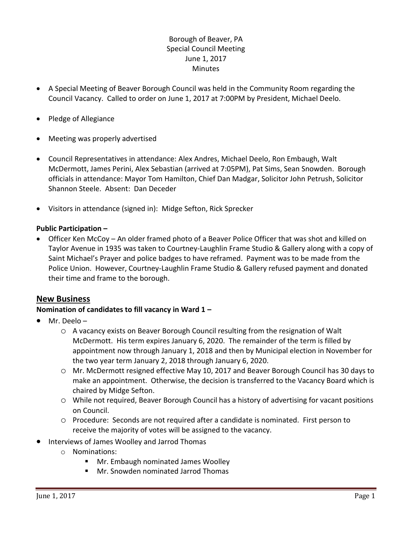# Borough of Beaver, PA Special Council Meeting June 1, 2017 **Minutes**

- A Special Meeting of Beaver Borough Council was held in the Community Room regarding the Council Vacancy. Called to order on June 1, 2017 at 7:00PM by President, Michael Deelo.
- Pledge of Allegiance
- Meeting was properly advertised
- Council Representatives in attendance: Alex Andres, Michael Deelo, Ron Embaugh, Walt McDermott, James Perini, Alex Sebastian (arrived at 7:05PM), Pat Sims, Sean Snowden. Borough officials in attendance: Mayor Tom Hamilton, Chief Dan Madgar, Solicitor John Petrush, Solicitor Shannon Steele. Absent: Dan Deceder
- Visitors in attendance (signed in): Midge Sefton, Rick Sprecker

#### **Public Participation –**

 Officer Ken McCoy – An older framed photo of a Beaver Police Officer that was shot and killed on Taylor Avenue in 1935 was taken to Courtney-Laughlin Frame Studio & Gallery along with a copy of Saint Michael's Prayer and police badges to have reframed. Payment was to be made from the Police Union. However, Courtney-Laughlin Frame Studio & Gallery refused payment and donated their time and frame to the borough.

## **New Business**

## **Nomination of candidates to fill vacancy in Ward 1 –**

- Mr. Deelo
	- o A vacancy exists on Beaver Borough Council resulting from the resignation of Walt McDermott. His term expires January 6, 2020. The remainder of the term is filled by appointment now through January 1, 2018 and then by Municipal election in November for the two year term January 2, 2018 through January 6, 2020.
	- o Mr. McDermott resigned effective May 10, 2017 and Beaver Borough Council has 30 days to make an appointment. Otherwise, the decision is transferred to the Vacancy Board which is chaired by Midge Sefton.
	- o While not required, Beaver Borough Council has a history of advertising for vacant positions on Council.
	- o Procedure: Seconds are not required after a candidate is nominated. First person to receive the majority of votes will be assigned to the vacancy.
- Interviews of James Woolley and Jarrod Thomas
	- o Nominations:
		- Mr. Embaugh nominated James Woolley
		- Mr. Snowden nominated Jarrod Thomas